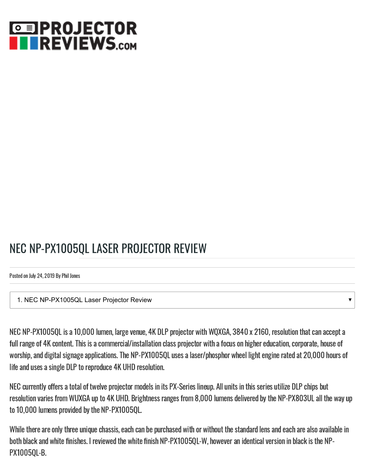# **©国PROJECTOR TREVIEWS.com**

## NEC NP-PX1005QL LASER PROJECTOR REVIEW

Posted on July 24, 2019 By Phil Jones

1. NEC NP-PX1005QL Laser Projector Review

NEC NP-PX1005QL is a 10,000 lumen, large venue, 4K DLP projector with WQXGA, 3840 x 2160, resolution that can accept a full range of 4K content. This is a commercial/installation class projector with a focus on higher education, corporate, house of worship, and digital signage applications. The NP-PX1005QL uses a laser/phosphor wheel light engine rated at 20,000 hours of life and uses a single DLP to reproduce 4K UHD resolution.

 $\overline{\mathbf{v}}$ 

NEC currently offers a total of twelve projector models in its PX-Series lineup. All units in this series utilize DLP chips but resolution varies from WUXGA up to 4K UHD. Brightness ranges from 8,000 lumens delivered by the NP-PX803UL all the way up to 10,000 lumens provided by the NP-PX1005QL.

While there are only three unique chassis, each can be purchased with or without the standard lens and each are also available in both black and white finishes. I reviewed the white finish NP-PX1005QL-W, however an identical version in black is the NP-PX1005QL-B.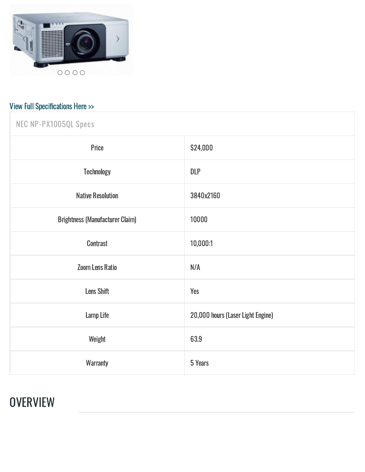<span id="page-1-0"></span>

# View Full Specifications Here >>

| NEC NP-PX1005QL Specs                  |                                   |
|----------------------------------------|-----------------------------------|
| Price                                  | \$24,000                          |
| <b>Technology</b>                      | <b>DLP</b>                        |
| <b>Native Resolution</b>               | 3840x2160                         |
| <b>Brightness (Manufacturer Claim)</b> | 10000                             |
| <b>Contrast</b>                        | 10,000:1                          |
| <b>Zoom Lens Ratio</b>                 | N/A                               |
| <b>Lens Shift</b>                      | Yes                               |
| Lamp Life                              | 20,000 hours (Laser Light Engine) |
| Weight                                 | 63.9                              |
| <b>Warranty</b>                        | 5 Years                           |

#### **OVERVIEW**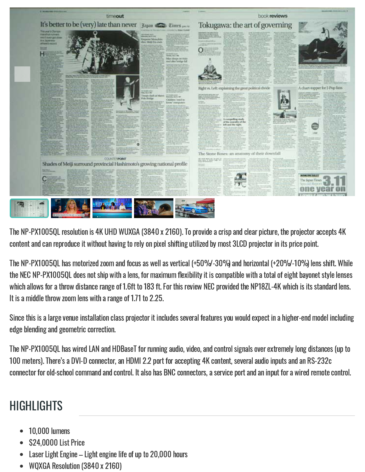

The NP-PX1005QL resolution is 4K UHD WUXGA (3840 x 2160). To provide a crisp and clear picture, the projector accepts 4K content and can reproduce it without having to rely on pixel shifting utilized by most 3LCD projector in its price point.

The NP-PX1005QL has motorized zoom and focus as well as vertical (+50%/-30%) and horizontal (+20%/-10%) lens shift. While the NEC NP-PX1005QL does not ship with a lens, for maximum flexibility it is compatible with a total of eight bayonet style lenses which allows for a throw distance range of 1.6ft to 183 ft. For this review NEC provided the NP18ZL-4K which is its standard lens. It is a middle throw zoom lens with a range of 1.71 to 2.25.

Since this is a large venue installation class projector it includes several features you would expect in a higher-end model including edge blending and geometric correction.

The NP-PX1005QL has wired LAN and HDBaseT for running audio, video, and control signals over extremely long distances (up to 100 meters). There's a DVI-D connector, an HDMI 2.2 port for accepting 4K content, several audio inputs and an RS-232c connector for old-school command and control. It also has BNC connectors, a service port and an input for a wired remote control.

### **HIGHLIGHTS**

- 10,000 lumens
- \$24,0000 List Price
- Laser Light Engine Light engine life of up to 20,000 hours
- WQXGA Resolution (3840 x 2160)